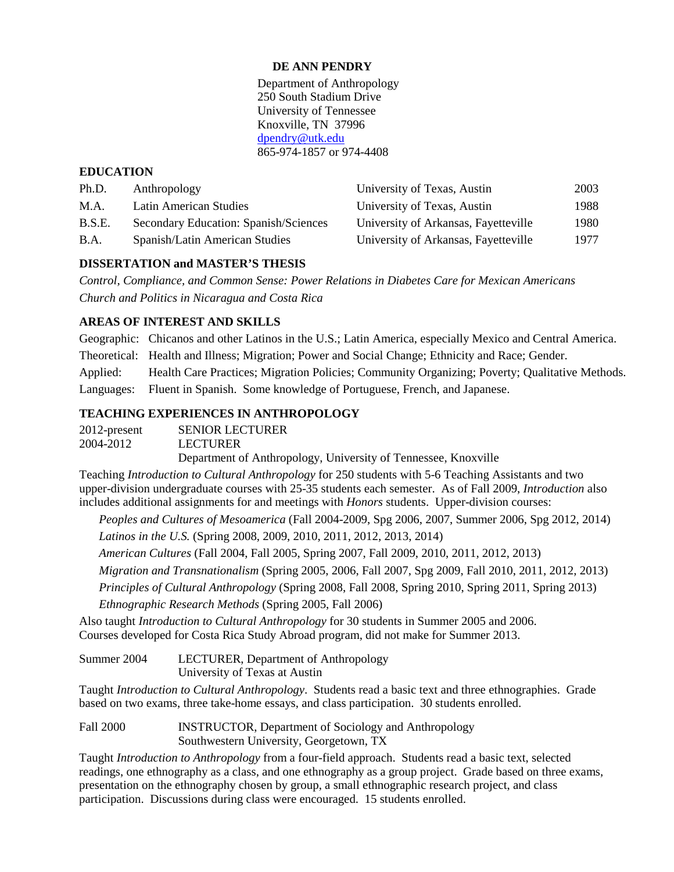## **DE ANN PENDRY**

Department of Anthropology 250 South Stadium Drive University of Tennessee Knoxville, TN 37996 [dpendry@utk.edu](mailto:dpendry@utk.edu) 865-974-1857 or 974-4408

## **EDUCATION**

| Ph.D.         | Anthropology                          | University of Texas, Austin          | 2003 |
|---------------|---------------------------------------|--------------------------------------|------|
| M.A.          | Latin American Studies                | University of Texas, Austin          | 1988 |
| <b>B.S.E.</b> | Secondary Education: Spanish/Sciences | University of Arkansas, Fayetteville | 1980 |
| <b>B.A.</b>   | Spanish/Latin American Studies        | University of Arkansas, Fayetteville | 1977 |

# **DISSERTATION and MASTER'S THESIS**

*Control, Compliance, and Common Sense: Power Relations in Diabetes Care for Mexican Americans Church and Politics in Nicaragua and Costa Rica*

# **AREAS OF INTEREST AND SKILLS**

Geographic: Chicanos and other Latinos in the U.S.; Latin America, especially Mexico and Central America. Theoretical: Health and Illness; Migration; Power and Social Change; Ethnicity and Race; Gender. Applied: Health Care Practices; Migration Policies; Community Organizing; Poverty; Qualitative Methods. Languages: Fluent in Spanish. Some knowledge of Portuguese, French, and Japanese.

# **TEACHING EXPERIENCES IN ANTHROPOLOGY**

| 2012-present | <b>SENIOR LECTURER</b>                                         |
|--------------|----------------------------------------------------------------|
| 2004-2012    | <b>LECTURER</b>                                                |
|              | Department of Anthropology, University of Tennessee, Knoxville |

Teaching *Introduction to Cultural Anthropology* for 250 students with 5-6 Teaching Assistants and two upper-division undergraduate courses with 25-35 students each semester. As of Fall 2009, *Introduction* also includes additional assignments for and meetings with *Honors* students. Upper-division courses:

*Peoples and Cultures of Mesoamerica* (Fall 2004-2009, Spg 2006, 2007, Summer 2006, Spg 2012, 2014) *Latinos in the U.S.* (Spring 2008, 2009, 2010, 2011, 2012, 2013, 2014)

*American Cultures* (Fall 2004, Fall 2005, Spring 2007, Fall 2009, 2010, 2011, 2012, 2013)

*Migration and Transnationalism* (Spring 2005, 2006, Fall 2007, Spg 2009, Fall 2010, 2011, 2012, 2013)

*Principles of Cultural Anthropology* (Spring 2008, Fall 2008, Spring 2010, Spring 2011, Spring 2013)

*Ethnographic Research Methods* (Spring 2005, Fall 2006)

Also taught *Introduction to Cultural Anthropology* for 30 students in Summer 2005 and 2006. Courses developed for Costa Rica Study Abroad program, did not make for Summer 2013.

Summer 2004 LECTURER, Department of Anthropology University of Texas at Austin

Taught *Introduction to Cultural Anthropology*. Students read a basic text and three ethnographies. Grade based on two exams, three take-home essays, and class participation. 30 students enrolled.

Fall 2000 **INSTRUCTOR, Department of Sociology and Anthropology** Southwestern University, Georgetown, TX

Taught *Introduction to Anthropology* from a four-field approach. Students read a basic text, selected readings, one ethnography as a class, and one ethnography as a group project. Grade based on three exams, presentation on the ethnography chosen by group, a small ethnographic research project, and class participation. Discussions during class were encouraged. 15 students enrolled.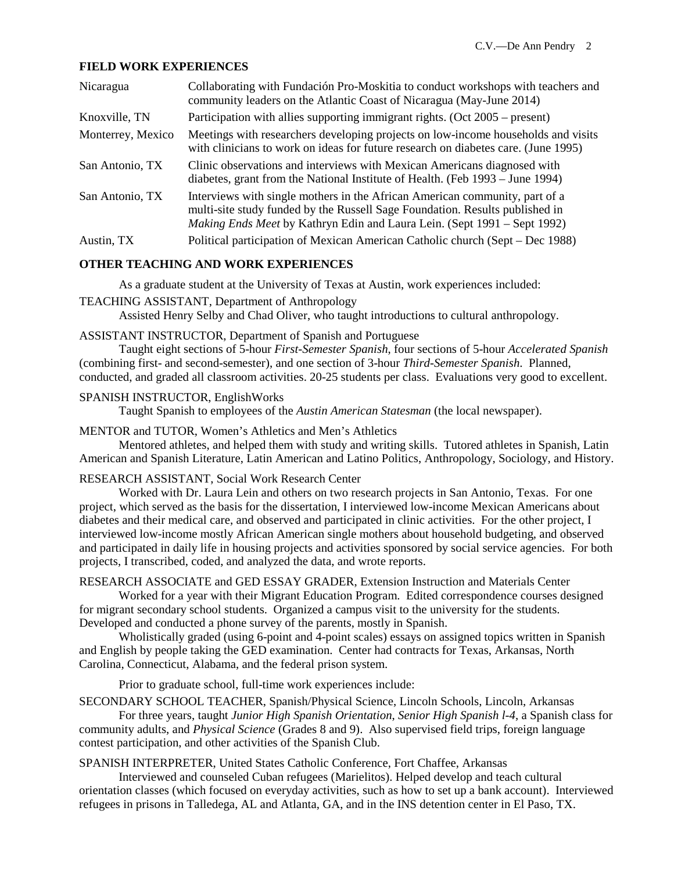### **FIELD WORK EXPERIENCES**

| Nicaragua         | Collaborating with Fundación Pro-Moskitia to conduct workshops with teachers and<br>community leaders on the Atlantic Coast of Nicaragua (May-June 2014)                                                                                |
|-------------------|-----------------------------------------------------------------------------------------------------------------------------------------------------------------------------------------------------------------------------------------|
| Knoxville, TN     | Participation with allies supporting immigrant rights. (Oct 2005 – present)                                                                                                                                                             |
| Monterrey, Mexico | Meetings with researchers developing projects on low-income households and visits<br>with clinicians to work on ideas for future research on diabetes care. (June 1995)                                                                 |
| San Antonio, TX   | Clinic observations and interviews with Mexican Americans diagnosed with<br>diabetes, grant from the National Institute of Health. (Feb 1993 – June 1994)                                                                               |
| San Antonio, TX   | Interviews with single mothers in the African American community, part of a<br>multi-site study funded by the Russell Sage Foundation. Results published in<br>Making Ends Meet by Kathryn Edin and Laura Lein. (Sept 1991 – Sept 1992) |
| Austin, TX        | Political participation of Mexican American Catholic church (Sept – Dec 1988)                                                                                                                                                           |

## **OTHER TEACHING AND WORK EXPERIENCES**

As a graduate student at the University of Texas at Austin, work experiences included:

#### TEACHING ASSISTANT, Department of Anthropology

Assisted Henry Selby and Chad Oliver, who taught introductions to cultural anthropology.

# ASSISTANT INSTRUCTOR, Department of Spanish and Portuguese

Taught eight sections of 5-hour *First-Semester Spanish*, four sections of 5-hour *Accelerated Spanish* (combining first- and second-semester), and one section of 3-hour *Third-Semester Spanish*. Planned, conducted, and graded all classroom activities. 20-25 students per class. Evaluations very good to excellent.

#### SPANISH INSTRUCTOR, EnglishWorks

Taught Spanish to employees of the *Austin American Statesman* (the local newspaper).

#### MENTOR and TUTOR, Women's Athletics and Men's Athletics

Mentored athletes, and helped them with study and writing skills. Tutored athletes in Spanish, Latin American and Spanish Literature, Latin American and Latino Politics, Anthropology, Sociology, and History.

### RESEARCH ASSISTANT, Social Work Research Center

Worked with Dr. Laura Lein and others on two research projects in San Antonio, Texas. For one project, which served as the basis for the dissertation, I interviewed low-income Mexican Americans about diabetes and their medical care, and observed and participated in clinic activities. For the other project, I interviewed low-income mostly African American single mothers about household budgeting, and observed and participated in daily life in housing projects and activities sponsored by social service agencies. For both projects, I transcribed, coded, and analyzed the data, and wrote reports.

### RESEARCH ASSOCIATE and GED ESSAY GRADER, Extension Instruction and Materials Center

Worked for a year with their Migrant Education Program. Edited correspondence courses designed for migrant secondary school students. Organized a campus visit to the university for the students. Developed and conducted a phone survey of the parents, mostly in Spanish.

Wholistically graded (using 6-point and 4-point scales) essays on assigned topics written in Spanish and English by people taking the GED examination. Center had contracts for Texas, Arkansas, North Carolina, Connecticut, Alabama, and the federal prison system.

Prior to graduate school, full-time work experiences include:

SECONDARY SCHOOL TEACHER, Spanish/Physical Science, Lincoln Schools, Lincoln, Arkansas

For three years, taught *Junior High Spanish Orientation*, *Senior High Spanish l-4*, a Spanish class for community adults, and *Physical Science* (Grades 8 and 9). Also supervised field trips, foreign language contest participation, and other activities of the Spanish Club.

## SPANISH INTERPRETER, United States Catholic Conference, Fort Chaffee, Arkansas

Interviewed and counseled Cuban refugees (Marielitos). Helped develop and teach cultural orientation classes (which focused on everyday activities, such as how to set up a bank account). Interviewed refugees in prisons in Talledega, AL and Atlanta, GA, and in the INS detention center in El Paso, TX.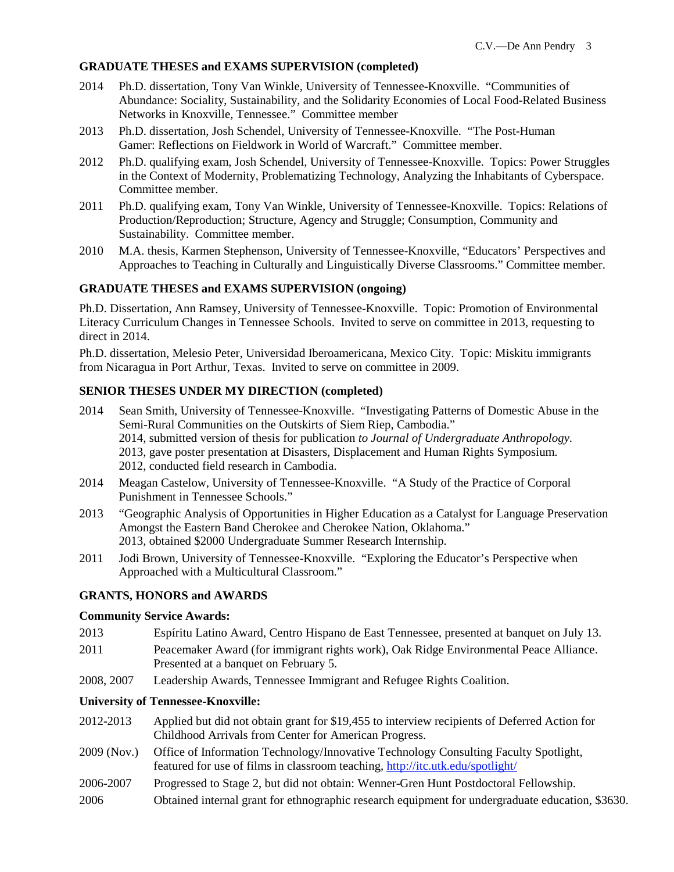### **GRADUATE THESES and EXAMS SUPERVISION (completed)**

- 2014 Ph.D. dissertation, Tony Van Winkle, University of Tennessee-Knoxville. "Communities of Abundance: Sociality, Sustainability, and the Solidarity Economies of Local Food-Related Business Networks in Knoxville, Tennessee." Committee member
- 2013 Ph.D. dissertation, Josh Schendel, University of Tennessee-Knoxville. "The Post-Human Gamer: Reflections on Fieldwork in World of Warcraft." Committee member.
- 2012 Ph.D. qualifying exam, Josh Schendel, University of Tennessee-Knoxville. Topics: Power Struggles in the Context of Modernity, Problematizing Technology, Analyzing the Inhabitants of Cyberspace. Committee member.
- 2011 Ph.D. qualifying exam, Tony Van Winkle, University of Tennessee-Knoxville. Topics: Relations of Production/Reproduction; Structure, Agency and Struggle; Consumption, Community and Sustainability. Committee member.
- 2010 M.A. thesis, Karmen Stephenson, University of Tennessee-Knoxville, "Educators' Perspectives and Approaches to Teaching in Culturally and Linguistically Diverse Classrooms." Committee member.

#### **GRADUATE THESES and EXAMS SUPERVISION (ongoing)**

Ph.D. Dissertation, Ann Ramsey, University of Tennessee-Knoxville. Topic: Promotion of Environmental Literacy Curriculum Changes in Tennessee Schools. Invited to serve on committee in 2013, requesting to direct in 2014.

Ph.D. dissertation, Melesio Peter, Universidad Iberoamericana, Mexico City. Topic: Miskitu immigrants from Nicaragua in Port Arthur, Texas. Invited to serve on committee in 2009.

### **SENIOR THESES UNDER MY DIRECTION (completed)**

- 2014 Sean Smith, University of Tennessee-Knoxville. "Investigating Patterns of Domestic Abuse in the Semi-Rural Communities on the Outskirts of Siem Riep, Cambodia." 2014, submitted version of thesis for publication *to Journal of Undergraduate Anthropology*. 2013, gave poster presentation at Disasters, Displacement and Human Rights Symposium. 2012, conducted field research in Cambodia.
- 2014 Meagan Castelow, University of Tennessee-Knoxville. "A Study of the Practice of Corporal Punishment in Tennessee Schools."
- 2013 "Geographic Analysis of Opportunities in Higher Education as a Catalyst for Language Preservation Amongst the Eastern Band Cherokee and Cherokee Nation, Oklahoma." 2013, obtained \$2000 Undergraduate Summer Research Internship.
- 2011 Jodi Brown, University of Tennessee-Knoxville. "Exploring the Educator's Perspective when Approached with a Multicultural Classroom."

#### **GRANTS, HONORS and AWARDS**

#### **Community Service Awards:**

- 2013 Espíritu Latino Award, Centro Hispano de East Tennessee, presented at banquet on July 13.
- 2011 Peacemaker Award (for immigrant rights work), Oak Ridge Environmental Peace Alliance. Presented at a banquet on February 5.
- 2008, 2007 Leadership Awards, Tennessee Immigrant and Refugee Rights Coalition.

#### **University of Tennessee-Knoxville:**

- 2012-2013 Applied but did not obtain grant for \$19,455 to interview recipients of Deferred Action for Childhood Arrivals from Center for American Progress.
- 2009 (Nov.) Office of Information Technology/Innovative Technology Consulting Faculty Spotlight, featured for use of films in classroom teaching, [http://itc.utk.edu/spotlight/](https://tmail.utk.edu/exchweb/bin/redir.asp?URL=http://itc.utk.edu/spotlight/)
- 2006-2007 Progressed to Stage 2, but did not obtain: Wenner-Gren Hunt Postdoctoral Fellowship.
- 2006 Obtained internal grant for ethnographic research equipment for undergraduate education, \$3630.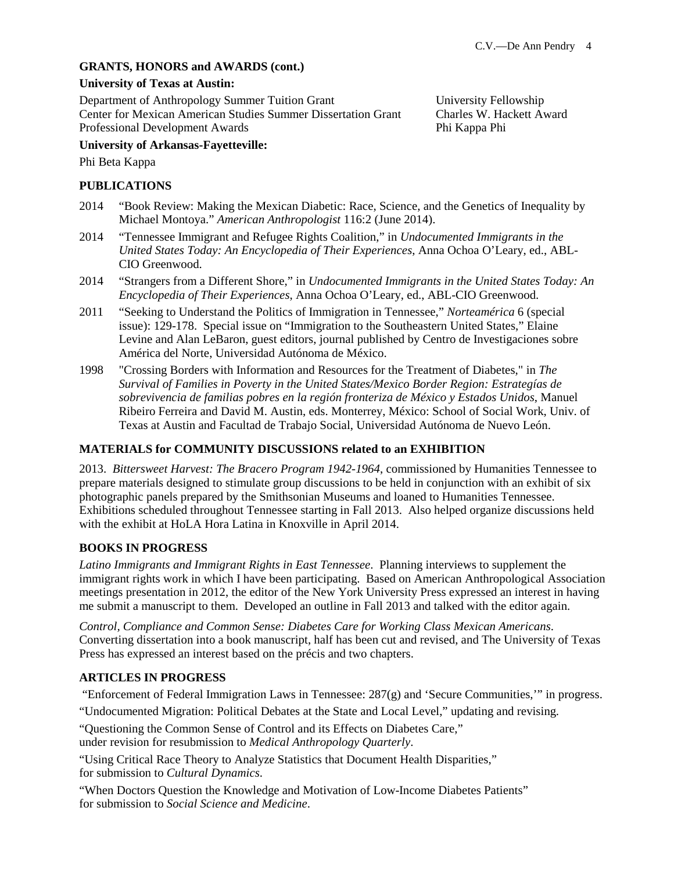# **GRANTS, HONORS and AWARDS (cont.)**

#### **University of Texas at Austin:**

Department of Anthropology Summer Tuition Grant University Fellowship Center for Mexican American Studies Summer Dissertation Grant Charles W. Hackett Award Professional Development Awards Phi Kappa Phi Kappa Phi

## **University of Arkansas-Fayetteville:**

Phi Beta Kappa

### **PUBLICATIONS**

- 2014 "Book Review: Making the Mexican Diabetic: Race, Science, and the Genetics of Inequality by Michael Montoya." *American Anthropologist* 116:2 (June 2014).
- 2014 "Tennessee Immigrant and Refugee Rights Coalition," in *Undocumented Immigrants in the United States Today: An Encyclopedia of Their Experiences*, Anna Ochoa O'Leary, ed., ABL-CIO Greenwood.
- 2014 "Strangers from a Different Shore," in *Undocumented Immigrants in the United States Today: An Encyclopedia of Their Experiences*, Anna Ochoa O'Leary, ed., ABL-CIO Greenwood.
- 2011 "Seeking to Understand the Politics of Immigration in Tennessee," *Norteamérica* 6 (special issue): 129-178. Special issue on "Immigration to the Southeastern United States," Elaine Levine and Alan LeBaron, guest editors, journal published by Centro de Investigaciones sobre América del Norte, Universidad Autónoma de México.
- 1998 "Crossing Borders with Information and Resources for the Treatment of Diabetes," in *The Survival of Families in Poverty in the United States/Mexico Border Region: Estrategías de sobrevivencia de familias pobres en la región fronteriza de México y Estados Unidos*, Manuel Ribeiro Ferreira and David M. Austin, eds. Monterrey, México: School of Social Work, Univ. of Texas at Austin and Facultad de Trabajo Social, Universidad Autónoma de Nuevo León.

### **MATERIALS for COMMUNITY DISCUSSIONS related to an EXHIBITION**

2013. *Bittersweet Harvest: The Bracero Program 1942-1964*, commissioned by Humanities Tennessee to prepare materials designed to stimulate group discussions to be held in conjunction with an exhibit of six photographic panels prepared by the Smithsonian Museums and loaned to Humanities Tennessee. Exhibitions scheduled throughout Tennessee starting in Fall 2013. Also helped organize discussions held with the exhibit at HoLA Hora Latina in Knoxville in April 2014.

## **BOOKS IN PROGRESS**

*Latino Immigrants and Immigrant Rights in East Tennessee*. Planning interviews to supplement the immigrant rights work in which I have been participating. Based on American Anthropological Association meetings presentation in 2012, the editor of the New York University Press expressed an interest in having me submit a manuscript to them. Developed an outline in Fall 2013 and talked with the editor again.

*Control, Compliance and Common Sense: Diabetes Care for Working Class Mexican Americans*. Converting dissertation into a book manuscript, half has been cut and revised, and The University of Texas Press has expressed an interest based on the précis and two chapters.

# **ARTICLES IN PROGRESS**

"Enforcement of Federal Immigration Laws in Tennessee:  $287(g)$  and 'Secure Communities," in progress.

"Undocumented Migration: Political Debates at the State and Local Level," updating and revising.

"Questioning the Common Sense of Control and its Effects on Diabetes Care,"

under revision for resubmission to *Medical Anthropology Quarterly*.

"Using Critical Race Theory to Analyze Statistics that Document Health Disparities," for submission to *Cultural Dynamics*.

"When Doctors Question the Knowledge and Motivation of Low-Income Diabetes Patients" for submission to *Social Science and Medicine*.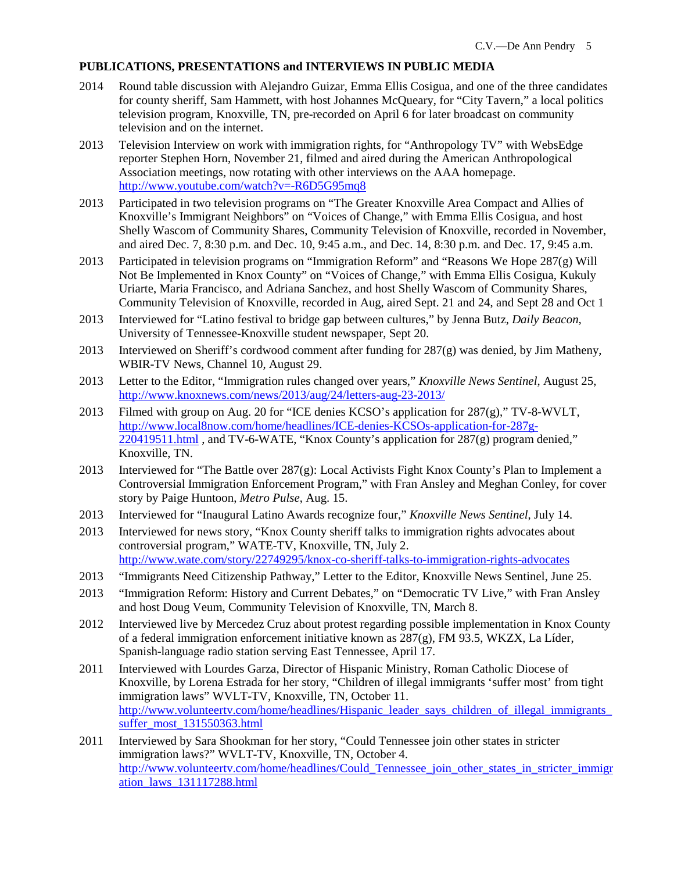## **PUBLICATIONS, PRESENTATIONS and INTERVIEWS IN PUBLIC MEDIA**

- 2014 Round table discussion with Alejandro Guizar, Emma Ellis Cosigua, and one of the three candidates for county sheriff, Sam Hammett, with host Johannes McQueary, for "City Tavern," a local politics television program, Knoxville, TN, pre-recorded on April 6 for later broadcast on community television and on the internet.
- 2013 Television Interview on work with immigration rights, for "Anthropology TV" with WebsEdge reporter Stephen Horn, November 21, filmed and aired during the American Anthropological Association meetings, now rotating with other interviews on the AAA homepage. [http://www.youtube.com/watch?v=-R6D5G95mq8](https://tmail.utk.edu/owa/redir.aspx?C=DCGFRwT0t0i1az8MM6H7q-Lsn40NBtEIiRnxWydWG3lIVvAF4Jheahnn4Rf120mIoSog6bSXu3s.&URL=http%3a%2f%2fwww.youtube.com%2fwatch%3fv%3d-R6D5G95mq8)
- 2013 Participated in two television programs on "The Greater Knoxville Area Compact and Allies of Knoxville's Immigrant Neighbors" on "Voices of Change," with Emma Ellis Cosigua, and host Shelly Wascom of Community Shares, Community Television of Knoxville, recorded in November, and aired Dec. 7, 8:30 p.m. and Dec. 10, 9:45 a.m., and Dec. 14, 8:30 p.m. and Dec. 17, 9:45 a.m.
- 2013 Participated in television programs on "Immigration Reform" and "Reasons We Hope 287(g) Will Not Be Implemented in Knox County" on "Voices of Change," with Emma Ellis Cosigua, Kukuly Uriarte, Maria Francisco, and Adriana Sanchez, and host Shelly Wascom of Community Shares, Community Television of Knoxville, recorded in Aug, aired Sept. 21 and 24, and Sept 28 and Oct 1
- 2013 Interviewed for "Latino festival to bridge gap between cultures," by Jenna Butz, *Daily Beacon,*  University of Tennessee-Knoxville student newspaper, Sept 20.
- 2013 Interviewed on Sheriff's cordwood comment after funding for  $287(g)$  was denied, by Jim Matheny, WBIR-TV News, Channel 10, August 29.
- 2013 Letter to the Editor, "Immigration rules changed over years," *Knoxville News Sentinel*, August 25, <http://www.knoxnews.com/news/2013/aug/24/letters-aug-23-2013/>
- 2013 Filmed with group on Aug. 20 for "ICE denies KCSO's application for 287(g)," TV-8-WVLT, [http://www.local8now.com/home/headlines/ICE-denies-KCSOs-application-for-287g-](http://www.local8now.com/home/headlines/ICE-denies-KCSOs-application-for-287g-220419511.html) $220419511.html$ , and TV-6-WATE, "Knox County's application for  $287(g)$  program denied," Knoxville, TN.
- 2013 Interviewed for "The Battle over 287(g): Local Activists Fight Knox County's Plan to Implement a Controversial Immigration Enforcement Program," with Fran Ansley and Meghan Conley, for cover story by Paige Huntoon, *Metro Pulse*, Aug. 15.
- 2013 Interviewed for "Inaugural Latino Awards recognize four," *Knoxville News Sentinel*, July 14.
- 2013 Interviewed for news story, "Knox County sheriff talks to immigration rights advocates about controversial program," WATE-TV, Knoxville, TN, July 2. <http://www.wate.com/story/22749295/knox-co-sheriff-talks-to-immigration-rights-advocates>
- 2013 "Immigrants Need Citizenship Pathway," Letter to the Editor, Knoxville News Sentinel, June 25.
- 2013 "Immigration Reform: History and Current Debates," on "Democratic TV Live," with Fran Ansley and host Doug Veum, Community Television of Knoxville, TN, March 8.
- 2012 Interviewed live by Mercedez Cruz about protest regarding possible implementation in Knox County of a federal immigration enforcement initiative known as  $287(g)$ , FM 93.5, WKZX, La Líder, Spanish-language radio station serving East Tennessee, April 17.
- 2011 Interviewed with Lourdes Garza, Director of Hispanic Ministry, Roman Catholic Diocese of Knoxville, by Lorena Estrada for her story, "Children of illegal immigrants 'suffer most' from tight immigration laws" WVLT-TV, Knoxville, TN, October 11. [http://www.volunteertv.com/home/headlines/Hispanic\\_leader\\_says\\_children\\_of\\_illegal\\_immigrants\\_](http://www.volunteertv.com/home/headlines/Hispanic_leader_says_children_of_illegal_immigrants_suffer_most_131550363.html) [suffer\\_most\\_131550363.html](http://www.volunteertv.com/home/headlines/Hispanic_leader_says_children_of_illegal_immigrants_suffer_most_131550363.html)
- 2011 Interviewed by Sara Shookman for her story, "Could Tennessee join other states in stricter immigration laws?" WVLT-TV, Knoxville, TN, October 4. [http://www.volunteertv.com/home/headlines/Could\\_Tennessee\\_join\\_other\\_states\\_in\\_stricter\\_immigr](http://www.volunteertv.com/home/headlines/Could_Tennessee_join_other_states_in_stricter_immigration_laws_131117288.html) [ation\\_laws\\_131117288.html](http://www.volunteertv.com/home/headlines/Could_Tennessee_join_other_states_in_stricter_immigration_laws_131117288.html)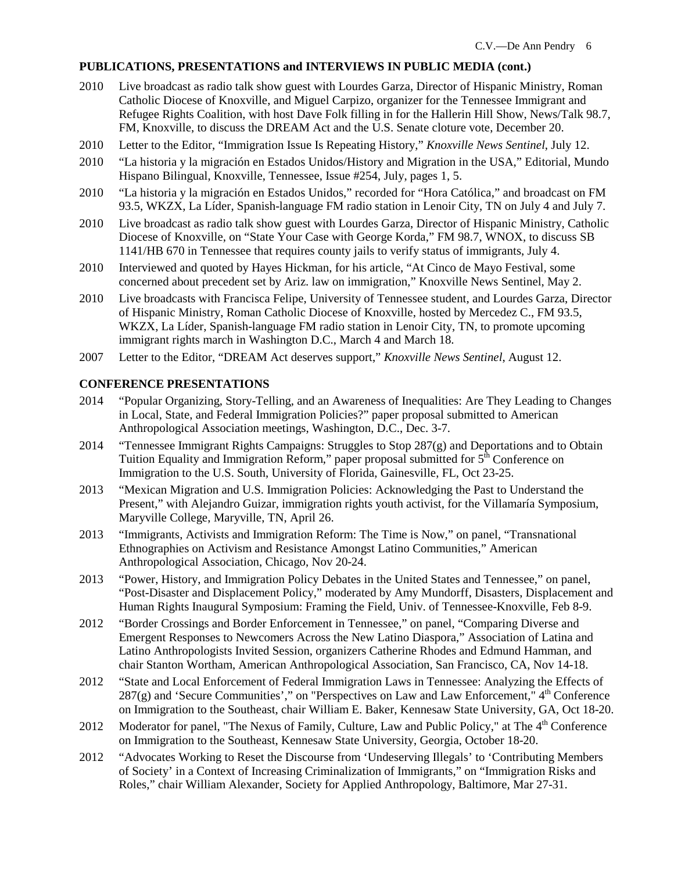## **PUBLICATIONS, PRESENTATIONS and INTERVIEWS IN PUBLIC MEDIA (cont.)**

- 2010 Live broadcast as radio talk show guest with Lourdes Garza, Director of Hispanic Ministry, Roman Catholic Diocese of Knoxville, and Miguel Carpizo, organizer for the Tennessee Immigrant and Refugee Rights Coalition, with host Dave Folk filling in for the Hallerin Hill Show, News/Talk 98.7, FM, Knoxville, to discuss the DREAM Act and the U.S. Senate cloture vote, December 20.
- 2010 Letter to the Editor, "Immigration Issue Is Repeating History," *Knoxville News Sentinel*, July 12.
- 2010 "La historia y la migración en Estados Unidos/History and Migration in the USA," Editorial, Mundo Hispano Bilingual, Knoxville, Tennessee, Issue #254, July, pages 1, 5.
- 2010 "La historia y la migración en Estados Unidos," recorded for "Hora Católica," and broadcast on FM 93.5, WKZX, La Líder, Spanish-language FM radio station in Lenoir City, TN on July 4 and July 7.
- 2010 Live broadcast as radio talk show guest with Lourdes Garza, Director of Hispanic Ministry, Catholic Diocese of Knoxville, on "State Your Case with George Korda," FM 98.7, WNOX, to discuss SB 1141/HB 670 in Tennessee that requires county jails to verify status of immigrants, July 4.
- 2010 Interviewed and quoted by Hayes Hickman, for his article, "At Cinco de Mayo Festival, some concerned about precedent set by Ariz. law on immigration," Knoxville News Sentinel, May 2.
- 2010 Live broadcasts with Francisca Felipe, University of Tennessee student, and Lourdes Garza, Director of Hispanic Ministry, Roman Catholic Diocese of Knoxville, hosted by Mercedez C., FM 93.5, WKZX, La Líder, Spanish-language FM radio station in Lenoir City, TN, to promote upcoming immigrant rights march in Washington D.C., March 4 and March 18.
- 2007 Letter to the Editor, "DREAM Act deserves support," *Knoxville News Sentinel*, August 12.

## **CONFERENCE PRESENTATIONS**

- 2014 "Popular Organizing, Story-Telling, and an Awareness of Inequalities: Are They Leading to Changes in Local, State, and Federal Immigration Policies?" paper proposal submitted to American Anthropological Association meetings, Washington, D.C., Dec. 3-7.
- 2014 "Tennessee Immigrant Rights Campaigns: Struggles to Stop 287(g) and Deportations and to Obtain Tuition Equality and Immigration Reform," paper proposal submitted for  $5^{\text{th}}$  Conference on Immigration to the U.S. South, University of Florida, Gainesville, FL, Oct 23-25.
- 2013 "Mexican Migration and U.S. Immigration Policies: Acknowledging the Past to Understand the Present," with Alejandro Guizar, immigration rights youth activist, for the Villamaría Symposium, Maryville College, Maryville, TN, April 26.
- 2013 "Immigrants, Activists and Immigration Reform: The Time is Now," on panel, "Transnational Ethnographies on Activism and Resistance Amongst Latino Communities," American Anthropological Association, Chicago, Nov 20-24.
- 2013 "Power, History, and Immigration Policy Debates in the United States and Tennessee," on panel, "Post-Disaster and Displacement Policy," moderated by Amy Mundorff, Disasters, Displacement and Human Rights Inaugural Symposium: Framing the Field, Univ. of Tennessee-Knoxville, Feb 8-9.
- 2012 "Border Crossings and Border Enforcement in Tennessee," on panel, "Comparing Diverse and Emergent Responses to Newcomers Across the New Latino Diaspora," Association of Latina and Latino Anthropologists Invited Session, organizers Catherine Rhodes and Edmund Hamman, and chair Stanton Wortham, American Anthropological Association, San Francisco, CA, Nov 14-18.
- 2012 "State and Local Enforcement of Federal Immigration Laws in Tennessee: Analyzing the Effects of  $287(g)$  and 'Secure Communities'," on "Perspectives on Law and Law Enforcement,"  $4<sup>th</sup>$  Conference on Immigration to the Southeast, chair William E. Baker, Kennesaw State University, GA, Oct 18-20.
- 2012 Moderator for panel, "The Nexus of Family, Culture, Law and Public Policy," at The 4<sup>th</sup> Conference on Immigration to the Southeast, Kennesaw State University, Georgia, October 18-20.
- 2012 "Advocates Working to Reset the Discourse from 'Undeserving Illegals' to 'Contributing Members of Society' in a Context of Increasing Criminalization of Immigrants," on "Immigration Risks and Roles," chair William Alexander, Society for Applied Anthropology, Baltimore, Mar 27-31.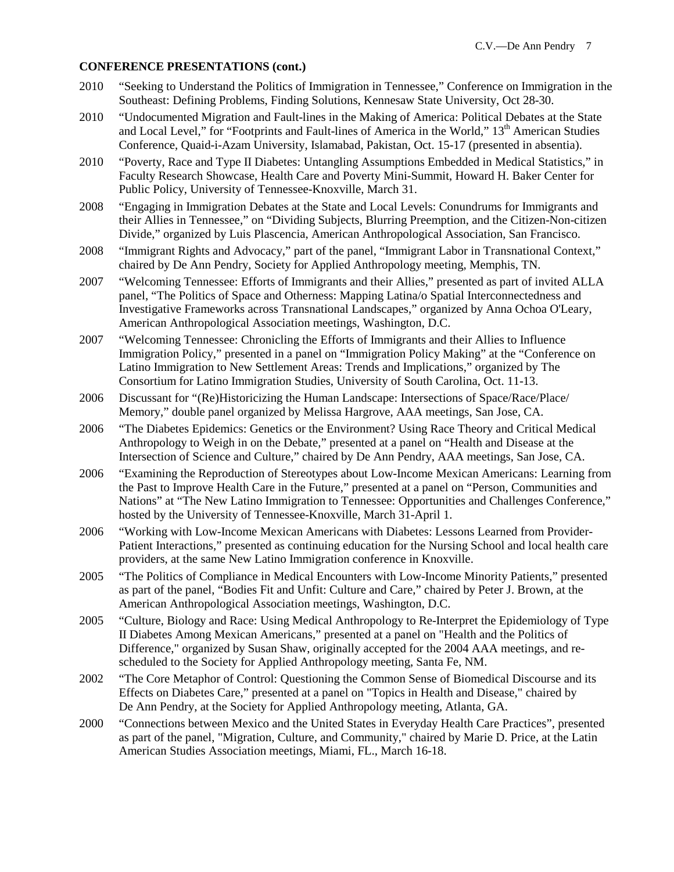#### **CONFERENCE PRESENTATIONS (cont.)**

- 2010 "Seeking to Understand the Politics of Immigration in Tennessee," Conference on Immigration in the Southeast: Defining Problems, Finding Solutions, Kennesaw State University, Oct 28-30.
- 2010 "Undocumented Migration and Fault-lines in the Making of America: Political Debates at the State and Local Level," for "Footprints and Fault-lines of America in the World," 13<sup>th</sup> American Studies Conference, Quaid-i-Azam University, Islamabad, Pakistan, Oct. 15-17 (presented in absentia).
- 2010 "Poverty, Race and Type II Diabetes: Untangling Assumptions Embedded in Medical Statistics," in Faculty Research Showcase, Health Care and Poverty Mini-Summit, Howard H. Baker Center for Public Policy, University of Tennessee-Knoxville, March 31.
- 2008 "Engaging in Immigration Debates at the State and Local Levels: Conundrums for Immigrants and their Allies in Tennessee," on "Dividing Subjects, Blurring Preemption, and the Citizen-Non-citizen Divide," organized by Luis Plascencia, American Anthropological Association, San Francisco.
- 2008 "Immigrant Rights and Advocacy," part of the panel, "Immigrant Labor in Transnational Context," chaired by De Ann Pendry, Society for Applied Anthropology meeting, Memphis, TN.
- 2007 "Welcoming Tennessee: Efforts of Immigrants and their Allies," presented as part of invited ALLA panel, "The Politics of Space and Otherness: Mapping Latina/o Spatial Interconnectedness and Investigative Frameworks across Transnational Landscapes," organized by Anna Ochoa O'Leary, American Anthropological Association meetings, Washington, D.C.
- 2007 "Welcoming Tennessee: Chronicling the Efforts of Immigrants and their Allies to Influence Immigration Policy," presented in a panel on "Immigration Policy Making" at the "Conference on Latino Immigration to New Settlement Areas: Trends and Implications," organized by The Consortium for Latino Immigration Studies, University of South Carolina, Oct. 11-13.
- 2006 Discussant for "(Re)Historicizing the Human Landscape: Intersections of Space/Race/Place/ Memory," double panel organized by Melissa Hargrove, AAA meetings, San Jose, CA.
- 2006 "The Diabetes Epidemics: Genetics or the Environment? Using Race Theory and Critical Medical Anthropology to Weigh in on the Debate," presented at a panel on "Health and Disease at the Intersection of Science and Culture," chaired by De Ann Pendry, AAA meetings, San Jose, CA.
- 2006 "Examining the Reproduction of Stereotypes about Low-Income Mexican Americans: Learning from the Past to Improve Health Care in the Future," presented at a panel on "Person, Communities and Nations" at "The New Latino Immigration to Tennessee: Opportunities and Challenges Conference," hosted by the University of Tennessee-Knoxville, March 31-April 1.
- 2006 "Working with Low-Income Mexican Americans with Diabetes: Lessons Learned from Provider-Patient Interactions," presented as continuing education for the Nursing School and local health care providers, at the same New Latino Immigration conference in Knoxville.
- 2005 "The Politics of Compliance in Medical Encounters with Low-Income Minority Patients," presented as part of the panel, "Bodies Fit and Unfit: Culture and Care," chaired by Peter J. Brown, at the American Anthropological Association meetings, Washington, D.C.
- 2005 "Culture, Biology and Race: Using Medical Anthropology to Re-Interpret the Epidemiology of Type II Diabetes Among Mexican Americans," presented at a panel on "Health and the Politics of Difference," organized by Susan Shaw, originally accepted for the 2004 AAA meetings, and rescheduled to the Society for Applied Anthropology meeting, Santa Fe, NM.
- 2002 "The Core Metaphor of Control: Questioning the Common Sense of Biomedical Discourse and its Effects on Diabetes Care," presented at a panel on "Topics in Health and Disease," chaired by De Ann Pendry, at the Society for Applied Anthropology meeting, Atlanta, GA.
- 2000 "Connections between Mexico and the United States in Everyday Health Care Practices", presented as part of the panel, "Migration, Culture, and Community," chaired by Marie D. Price, at the Latin American Studies Association meetings, Miami, FL., March 16-18.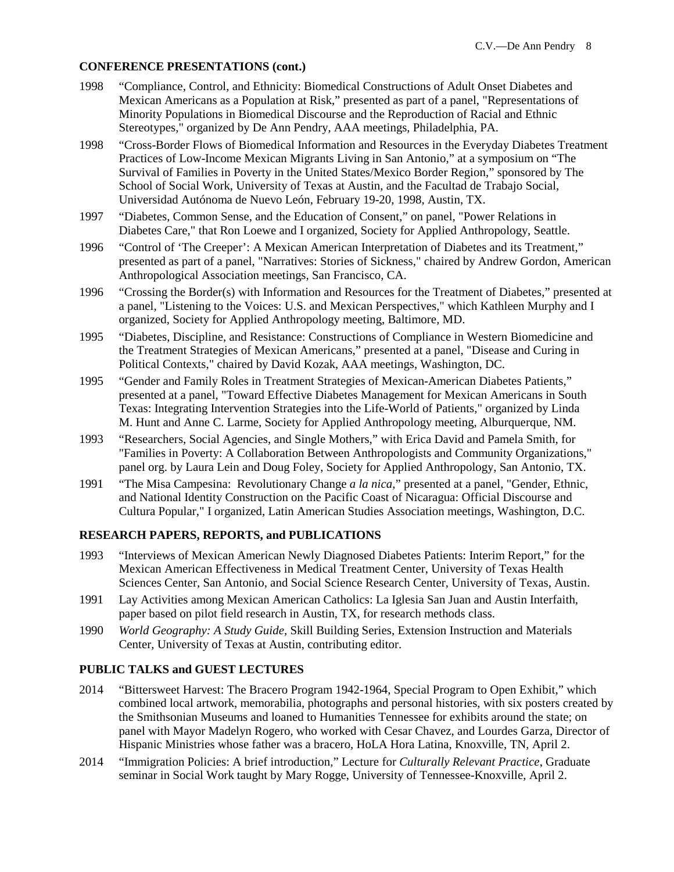### **CONFERENCE PRESENTATIONS (cont.)**

- 1998 "Compliance, Control, and Ethnicity: Biomedical Constructions of Adult Onset Diabetes and Mexican Americans as a Population at Risk," presented as part of a panel, "Representations of Minority Populations in Biomedical Discourse and the Reproduction of Racial and Ethnic Stereotypes," organized by De Ann Pendry, AAA meetings, Philadelphia, PA.
- 1998 "Cross-Border Flows of Biomedical Information and Resources in the Everyday Diabetes Treatment Practices of Low-Income Mexican Migrants Living in San Antonio," at a symposium on "The Survival of Families in Poverty in the United States/Mexico Border Region," sponsored by The School of Social Work, University of Texas at Austin, and the Facultad de Trabajo Social, Universidad Autónoma de Nuevo León, February 19-20, 1998, Austin, TX.
- 1997 "Diabetes, Common Sense, and the Education of Consent," on panel, "Power Relations in Diabetes Care," that Ron Loewe and I organized, Society for Applied Anthropology, Seattle.
- 1996 "Control of 'The Creeper': A Mexican American Interpretation of Diabetes and its Treatment," presented as part of a panel, "Narratives: Stories of Sickness," chaired by Andrew Gordon, American Anthropological Association meetings, San Francisco, CA.
- 1996 "Crossing the Border(s) with Information and Resources for the Treatment of Diabetes," presented at a panel, "Listening to the Voices: U.S. and Mexican Perspectives," which Kathleen Murphy and I organized, Society for Applied Anthropology meeting, Baltimore, MD.
- 1995 "Diabetes, Discipline, and Resistance: Constructions of Compliance in Western Biomedicine and the Treatment Strategies of Mexican Americans," presented at a panel, "Disease and Curing in Political Contexts," chaired by David Kozak, AAA meetings, Washington, DC.
- 1995 "Gender and Family Roles in Treatment Strategies of Mexican-American Diabetes Patients," presented at a panel, "Toward Effective Diabetes Management for Mexican Americans in South Texas: Integrating Intervention Strategies into the Life-World of Patients," organized by Linda M. Hunt and Anne C. Larme, Society for Applied Anthropology meeting, Alburquerque, NM.
- 1993 "Researchers, Social Agencies, and Single Mothers," with Erica David and Pamela Smith, for "Families in Poverty: A Collaboration Between Anthropologists and Community Organizations," panel org. by Laura Lein and Doug Foley, Society for Applied Anthropology, San Antonio, TX.
- 1991 "The Misa Campesina: Revolutionary Change *a la nica*," presented at a panel, "Gender, Ethnic, and National Identity Construction on the Pacific Coast of Nicaragua: Official Discourse and Cultura Popular," I organized, Latin American Studies Association meetings, Washington, D.C.

### **RESEARCH PAPERS, REPORTS, and PUBLICATIONS**

- 1993 "Interviews of Mexican American Newly Diagnosed Diabetes Patients: Interim Report," for the Mexican American Effectiveness in Medical Treatment Center, University of Texas Health Sciences Center, San Antonio, and Social Science Research Center, University of Texas, Austin.
- 1991 Lay Activities among Mexican American Catholics: La Iglesia San Juan and Austin Interfaith, paper based on pilot field research in Austin, TX, for research methods class.
- 1990 *World Geography: A Study Guide*, Skill Building Series, Extension Instruction and Materials Center, University of Texas at Austin, contributing editor.

# **PUBLIC TALKS and GUEST LECTURES**

- 2014 "Bittersweet Harvest: The Bracero Program 1942-1964, Special Program to Open Exhibit," which combined local artwork, memorabilia, photographs and personal histories, with six posters created by the Smithsonian Museums and loaned to Humanities Tennessee for exhibits around the state; on panel with Mayor Madelyn Rogero, who worked with Cesar Chavez, and Lourdes Garza, Director of Hispanic Ministries whose father was a bracero, HoLA Hora Latina, Knoxville, TN, April 2.
- 2014 "Immigration Policies: A brief introduction," Lecture for *Culturally Relevant Practice*, Graduate seminar in Social Work taught by Mary Rogge, University of Tennessee-Knoxville, April 2.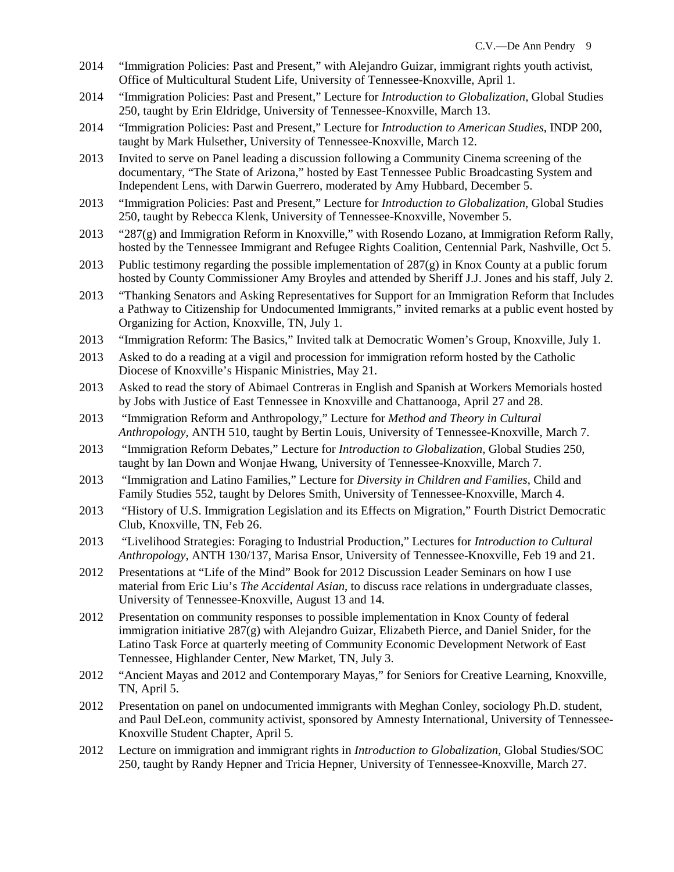- 2014 "Immigration Policies: Past and Present," with Alejandro Guizar, immigrant rights youth activist, Office of Multicultural Student Life, University of Tennessee-Knoxville, April 1.
- 2014 "Immigration Policies: Past and Present," Lecture for *Introduction to Globalization*, Global Studies 250, taught by Erin Eldridge, University of Tennessee-Knoxville, March 13.
- 2014 "Immigration Policies: Past and Present," Lecture for *Introduction to American Studies*, INDP 200, taught by Mark Hulsether, University of Tennessee-Knoxville, March 12.
- 2013 Invited to serve on Panel leading a discussion following a Community Cinema screening of the documentary, "The State of Arizona," hosted by East Tennessee Public Broadcasting System and Independent Lens, with Darwin Guerrero, moderated by Amy Hubbard, December 5.
- 2013 "Immigration Policies: Past and Present," Lecture for *Introduction to Globalization*, Global Studies 250, taught by Rebecca Klenk, University of Tennessee-Knoxville, November 5.
- 2013 "287(g) and Immigration Reform in Knoxville," with Rosendo Lozano, at Immigration Reform Rally, hosted by the Tennessee Immigrant and Refugee Rights Coalition, Centennial Park, Nashville, Oct 5.
- 2013 Public testimony regarding the possible implementation of 287(g) in Knox County at a public forum hosted by County Commissioner Amy Broyles and attended by Sheriff J.J. Jones and his staff, July 2.
- 2013 "Thanking Senators and Asking Representatives for Support for an Immigration Reform that Includes a Pathway to Citizenship for Undocumented Immigrants," invited remarks at a public event hosted by Organizing for Action, Knoxville, TN, July 1.
- 2013 "Immigration Reform: The Basics," Invited talk at Democratic Women's Group, Knoxville, July 1.
- 2013 Asked to do a reading at a vigil and procession for immigration reform hosted by the Catholic Diocese of Knoxville's Hispanic Ministries, May 21.
- 2013 Asked to read the story of Abimael Contreras in English and Spanish at Workers Memorials hosted by Jobs with Justice of East Tennessee in Knoxville and Chattanooga, April 27 and 28.
- 2013 "Immigration Reform and Anthropology," Lecture for *Method and Theory in Cultural Anthropology*, ANTH 510, taught by Bertin Louis, University of Tennessee-Knoxville, March 7.
- 2013 "Immigration Reform Debates," Lecture for *Introduction to Globalization*, Global Studies 250, taught by Ian Down and Wonjae Hwang, University of Tennessee-Knoxville, March 7.
- 2013 "Immigration and Latino Families," Lecture for *Diversity in Children and Families*, Child and Family Studies 552, taught by Delores Smith, University of Tennessee-Knoxville, March 4.
- 2013 "History of U.S. Immigration Legislation and its Effects on Migration," Fourth District Democratic Club, Knoxville, TN, Feb 26.
- 2013 "Livelihood Strategies: Foraging to Industrial Production," Lectures for *Introduction to Cultural Anthropology*, ANTH 130/137, Marisa Ensor, University of Tennessee-Knoxville, Feb 19 and 21.
- 2012 Presentations at "Life of the Mind" Book for 2012 Discussion Leader Seminars on how I use material from Eric Liu's *The Accidental Asian*, to discuss race relations in undergraduate classes, University of Tennessee-Knoxville, August 13 and 14.
- 2012 Presentation on community responses to possible implementation in Knox County of federal immigration initiative 287(g) with Alejandro Guizar, Elizabeth Pierce, and Daniel Snider, for the Latino Task Force at quarterly meeting of Community Economic Development Network of East Tennessee, Highlander Center, New Market, TN, July 3.
- 2012 "Ancient Mayas and 2012 and Contemporary Mayas," for Seniors for Creative Learning, Knoxville, TN, April 5.
- 2012 Presentation on panel on undocumented immigrants with Meghan Conley, sociology Ph.D. student, and Paul DeLeon, community activist, sponsored by Amnesty International, University of Tennessee-Knoxville Student Chapter, April 5.
- 2012 Lecture on immigration and immigrant rights in *Introduction to Globalization*, Global Studies/SOC 250, taught by Randy Hepner and Tricia Hepner, University of Tennessee-Knoxville, March 27.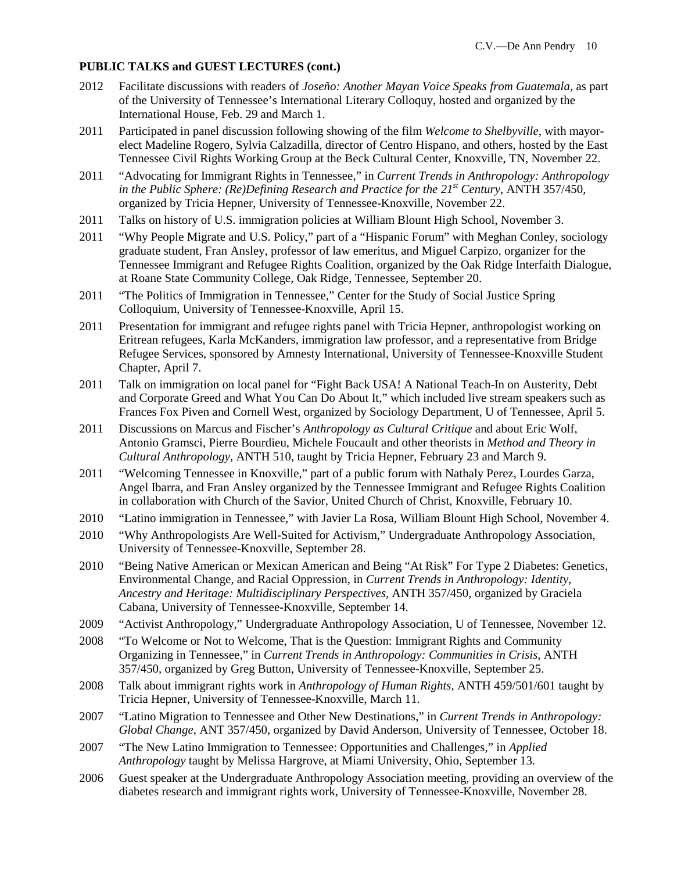### **PUBLIC TALKS and GUEST LECTURES (cont.)**

- 2012 Facilitate discussions with readers of *Joseño: Another Mayan Voice Speaks from Guatemala*, as part of the University of Tennessee's International Literary Colloquy, hosted and organized by the International House, Feb. 29 and March 1.
- 2011 Participated in panel discussion following showing of the film *Welcome to Shelbyville*, with mayorelect Madeline Rogero, Sylvia Calzadilla, director of Centro Hispano, and others, hosted by the East Tennessee Civil Rights Working Group at the Beck Cultural Center, Knoxville, TN, November 22.
- 2011 "Advocating for Immigrant Rights in Tennessee," in *Current Trends in Anthropology: Anthropology in the Public Sphere: (Re)Defining Research and Practice for the 21<sup>st</sup> Century, ANTH 357/450,* organized by Tricia Hepner, University of Tennessee-Knoxville, November 22.
- 2011 Talks on history of U.S. immigration policies at William Blount High School, November 3.
- 2011 "Why People Migrate and U.S. Policy," part of a "Hispanic Forum" with Meghan Conley, sociology graduate student, Fran Ansley, professor of law emeritus, and Miguel Carpizo, organizer for the Tennessee Immigrant and Refugee Rights Coalition, organized by the Oak Ridge Interfaith Dialogue, at Roane State Community College, Oak Ridge, Tennessee, September 20.
- 2011 "The Politics of Immigration in Tennessee," Center for the Study of Social Justice Spring Colloquium, University of Tennessee-Knoxville, April 15.
- 2011 Presentation for immigrant and refugee rights panel with Tricia Hepner, anthropologist working on Eritrean refugees, Karla McKanders, immigration law professor, and a representative from Bridge Refugee Services, sponsored by Amnesty International, University of Tennessee-Knoxville Student Chapter, April 7.
- 2011 Talk on immigration on local panel for "Fight Back USA! A National Teach-In on Austerity, Debt and Corporate Greed and What You Can Do About It," which included live stream speakers such as Frances Fox Piven and Cornell West, organized by Sociology Department, U of Tennessee, April 5.
- 2011 Discussions on Marcus and Fischer's *Anthropology as Cultural Critique* and about Eric Wolf, Antonio Gramsci, Pierre Bourdieu, Michele Foucault and other theorists in *Method and Theory in Cultural Anthropology*, ANTH 510, taught by Tricia Hepner, February 23 and March 9.
- 2011 "Welcoming Tennessee in Knoxville," part of a public forum with Nathaly Perez, Lourdes Garza, Angel Ibarra, and Fran Ansley organized by the Tennessee Immigrant and Refugee Rights Coalition in collaboration with Church of the Savior, United Church of Christ, Knoxville, February 10.
- 2010 "Latino immigration in Tennessee," with Javier La Rosa, William Blount High School, November 4.
- 2010 "Why Anthropologists Are Well-Suited for Activism," Undergraduate Anthropology Association, University of Tennessee-Knoxville, September 28.
- 2010 "Being Native American or Mexican American and Being "At Risk" For Type 2 Diabetes: Genetics, Environmental Change, and Racial Oppression, in *Current Trends in Anthropology: Identity, Ancestry and Heritage: Multidisciplinary Perspectives*, ANTH 357/450, organized by Graciela Cabana, University of Tennessee-Knoxville, September 14.
- 2009 "Activist Anthropology," Undergraduate Anthropology Association, U of Tennessee, November 12.
- 2008 "To Welcome or Not to Welcome, That is the Question: Immigrant Rights and Community Organizing in Tennessee," in *Current Trends in Anthropology: Communities in Crisis*, ANTH 357/450, organized by Greg Button, University of Tennessee-Knoxville, September 25.
- 2008 Talk about immigrant rights work in *Anthropology of Human Rights*, ANTH 459/501/601 taught by Tricia Hepner, University of Tennessee-Knoxville, March 11.
- 2007 "Latino Migration to Tennessee and Other New Destinations," in *Current Trends in Anthropology: Global Change*, ANT 357/450, organized by David Anderson, University of Tennessee, October 18.
- 2007 "The New Latino Immigration to Tennessee: Opportunities and Challenges," in *Applied Anthropology* taught by Melissa Hargrove, at Miami University, Ohio, September 13.
- 2006 Guest speaker at the Undergraduate Anthropology Association meeting, providing an overview of the diabetes research and immigrant rights work, University of Tennessee-Knoxville, November 28.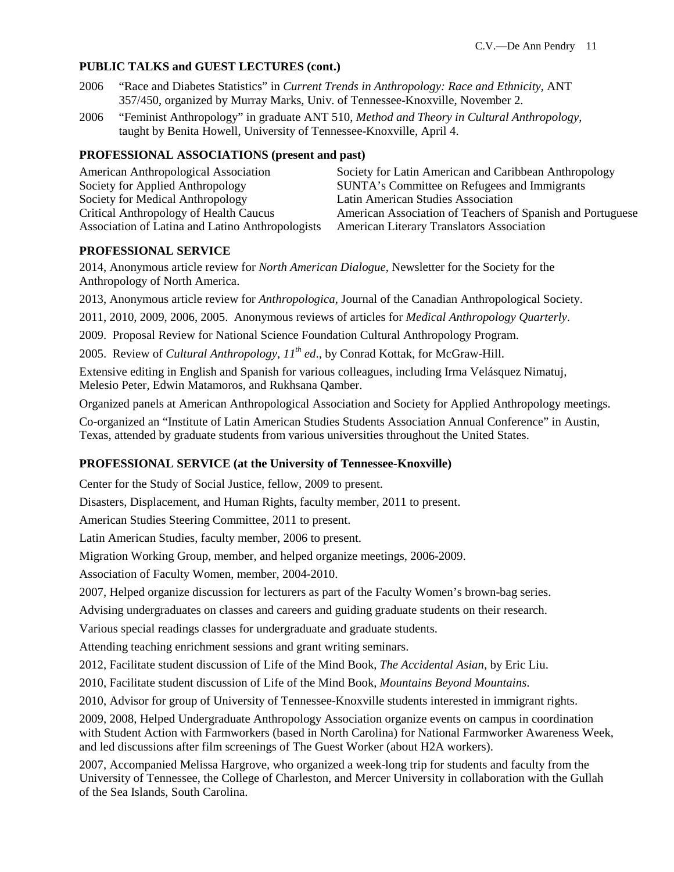## **PUBLIC TALKS and GUEST LECTURES (cont.)**

- 2006 "Race and Diabetes Statistics" in *Current Trends in Anthropology: Race and Ethnicity*, ANT 357/450, organized by Murray Marks, Univ. of Tennessee-Knoxville, November 2.
- 2006 "Feminist Anthropology" in graduate ANT 510, *Method and Theory in Cultural Anthropology*, taught by Benita Howell, University of Tennessee-Knoxville, April 4.

### **PROFESSIONAL ASSOCIATIONS (present and past)**

| American Anthropological Association             | Society for Latin American and Caribbean Anthropology      |
|--------------------------------------------------|------------------------------------------------------------|
| Society for Applied Anthropology                 | SUNTA's Committee on Refugees and Immigrants               |
| Society for Medical Anthropology                 | Latin American Studies Association                         |
| Critical Anthropology of Health Caucus           | American Association of Teachers of Spanish and Portuguese |
| Association of Latina and Latino Anthropologists | <b>American Literary Translators Association</b>           |

### **PROFESSIONAL SERVICE**

2014, Anonymous article review for *North American Dialogue*, Newsletter for the Society for the Anthropology of North America.

2013, Anonymous article review for *Anthropologica*, Journal of the Canadian Anthropological Society.

2011, 2010, 2009, 2006, 2005. Anonymous reviews of articles for *Medical Anthropology Quarterly*.

2009. Proposal Review for National Science Foundation Cultural Anthropology Program.

2005. Review of *Cultural Anthropology, 11<sup>th</sup> ed.*, by Conrad Kottak, for McGraw-Hill.

Extensive editing in English and Spanish for various colleagues, including Irma Velásquez Nimatuj, Melesio Peter, Edwin Matamoros, and Rukhsana Qamber.

Organized panels at American Anthropological Association and Society for Applied Anthropology meetings.

Co-organized an "Institute of Latin American Studies Students Association Annual Conference" in Austin, Texas, attended by graduate students from various universities throughout the United States.

# **PROFESSIONAL SERVICE (at the University of Tennessee-Knoxville)**

Center for the Study of Social Justice, fellow, 2009 to present.

Disasters, Displacement, and Human Rights, faculty member, 2011 to present.

American Studies Steering Committee, 2011 to present.

Latin American Studies, faculty member, 2006 to present.

Migration Working Group, member, and helped organize meetings, 2006-2009.

Association of Faculty Women, member, 2004-2010.

2007, Helped organize discussion for lecturers as part of the Faculty Women's brown-bag series.

Advising undergraduates on classes and careers and guiding graduate students on their research.

Various special readings classes for undergraduate and graduate students.

Attending teaching enrichment sessions and grant writing seminars.

2012, Facilitate student discussion of Life of the Mind Book, *The Accidental Asian,* by Eric Liu.

2010, Facilitate student discussion of Life of the Mind Book, *Mountains Beyond Mountains*.

2010, Advisor for group of University of Tennessee-Knoxville students interested in immigrant rights.

2009, 2008, Helped Undergraduate Anthropology Association organize events on campus in coordination with Student Action with Farmworkers (based in North Carolina) for National Farmworker Awareness Week, and led discussions after film screenings of The Guest Worker (about H2A workers).

2007, Accompanied Melissa Hargrove, who organized a week-long trip for students and faculty from the University of Tennessee, the College of Charleston, and Mercer University in collaboration with the Gullah of the Sea Islands, South Carolina.